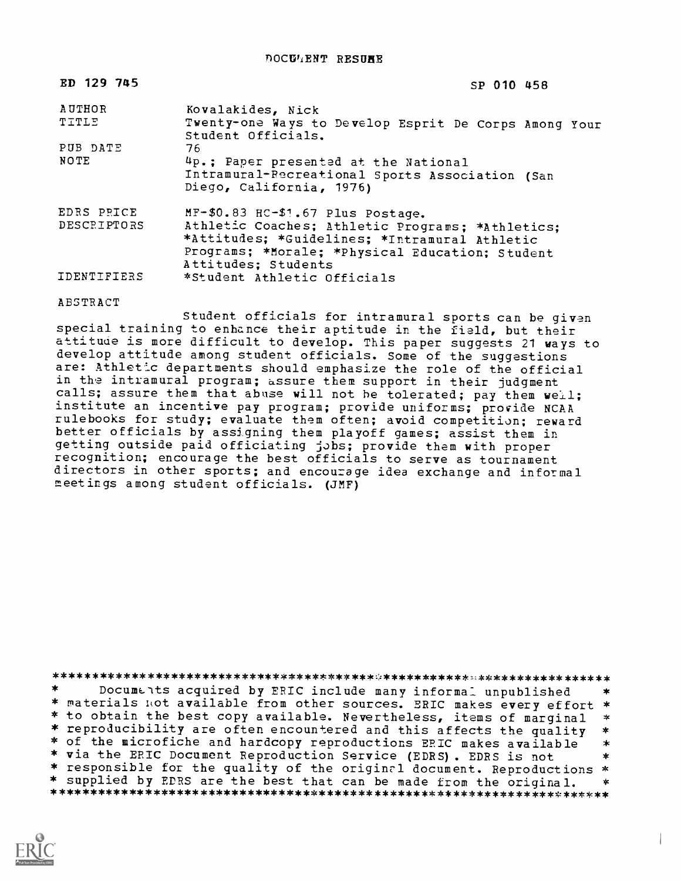DOCUMENT RESURE

| ED 129 745      | SP 010 458                                                                                                                                                                  |
|-----------------|-----------------------------------------------------------------------------------------------------------------------------------------------------------------------------|
| AUTHOR<br>TITLE | Kovalakides, Nick<br>Twenty-one Ways to Develop Esprit De Corps Among Your<br>Student Officials.                                                                            |
| PUB DATE        | 76                                                                                                                                                                          |
| NOTE            | 4p.; Paper presented at the National<br>Intramural-Recreational Sports Association (San<br>Diego, California, 1976)                                                         |
| EDRS PRICE      | MF-\$0.83 HC-\$1.67 Plus Postage.                                                                                                                                           |
| DESCRIPTORS     | Athletic Coaches; Athletic Programs; *Athletics;<br>*Attitudes; *Guidelines; *Intramural Athletic<br>Programs; *Morale; *Physical Education; Student<br>Attitudes; Students |
| IDENTIFIERS     | *Student Athletic Officials                                                                                                                                                 |

## ABSTRACT

Student officials for intramural sports can be given special training to enhance their aptitude in the field, but their attitude is more difficult to develop. This paper suggests 21 ways to develop attitude among student officials. Some of the suggestions are: Athletic departments should emphasize the role of the official in the intramural program; assure them support in their judgment calls; assure them that abuse will not be tolerated; pay them well; institute an incentive pay program; provide uniforms; provide NCAA rulebooks for study; evaluate them often; avoid competition; reward better officials by assigning them playoff games; assist them in getting outside paid officiating jobs; provide them with proper recognition; encourage the best officials to serve as tournament directors in other sports; and encourage idea exchange and informal meetings among student officials. (JMF)

 $\star$ Documents acquired by ERIC include many informal unpublished \* materials not available from other sources. ERIC makes every effort \* \* to obtain the best copy available. Nevertheless, items of marginal  $\Rightarrow$ \* reproducibility are often encountered and this affects the quality  $\ast$ \* of the microfiche and hardcopy reproductions ERIC makes available  $\ast$ \* via the ERIC Document Reproduction Service (EDRS). EDRS is not  $\star$ \* responsible for the quality of the original document. Reproductions \* \* supplied by EDRS are the best that can be made from the original.  $\star$ 

 $\overline{1}$ 

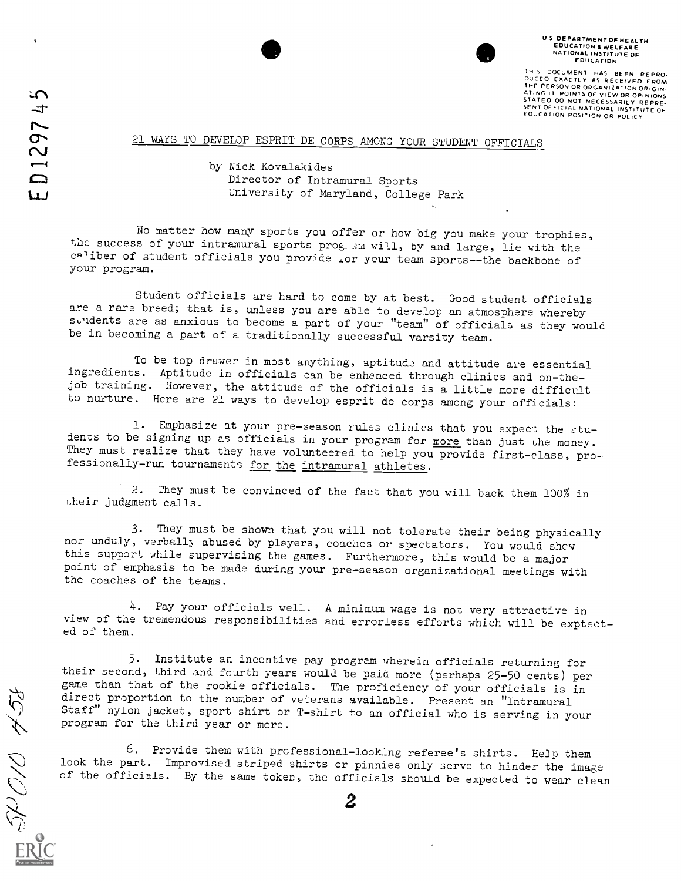THIS DOCUMENT HAS BEEN REPRO-<br>DUCEO EXACTLY AS RECEIVED FROM<br>THE PERSON OR ORGANIZATION ORGANIZATION ORGANIZATION ORGANIZATION ORGANIZATION ORGANIZATION ORGANIZATION ORGA<br>STATE OO NOT NECESSARILY REPRE-<br>SENTOFFICIAL NATION

## 21 WAYS TO DEVELOP ESPRIT DE CORPS AMONG YOUR STUDENT OFFICIALS

by Nick Kovalakides Director of Intramural Sports University of Maryland, College Park

No matter how many sports you offer or how big you make your trophies, the success of your intramural sports prog. 3M will, by and large, lie with the caliber of student officials you provide for your team sports--the backbone of your program.

Student officials are hard to come by at best. Good student officials are a rare breed; that is, unless you are able to develop an atmosphere whereby suited that the control with the subset of the subset of the subset of solid states are as anxious to become a part of your "team" of officials as they would be in becoming a part of a traditionally successful varsity team.

To be top drawer in most anything, aptitude and attitude are essential ingredients. Aptitude in officials can be enhanced through clinics and on-thejob training. However, the attitude of the officials is a little more difficult to nurture. Here are 21 ways to develop esprit de corps among your officials:

1. Emphasize at your pre-season rules clinics that you expect the stu-<br>dents to be signing up as officials in your program for more than just the money. They must realize that they have volunteered to help you provide first-class, professionally-run tournaments for the intramural athletes.

2. They must be convinced of the fact that you will back them 100% in their judgment calls.

3. They must be shown that you will not tolerate their being physically nor unduly, verbally abused by players, coaches or spectators. You would show this support while supervising the games. Furthermore, this would be a major point of emphasis to be made during your pre-season organizational meetings with the coaches of the teams.

4. Pay your officials well. A minimum wage is not very attractive in view of the tremendous responsibilities and errorless efforts which will be exptected of them.

5. Institute an incentive pay program wherein officials returning for their second, third and fourth years would be paid more (perhaps 25-50 cents) per game than that of the rookie officials. The proficiency of your officials is in direct proportion to the number of veterans available. Present an "Intramural Staff" nylon jacket, sport shirt or T-shirt to an official who is serving in your program for the third year or more.

6. Provide them with professional-looking referee's shirts. Help them look the part. Improvised striped shirts or pinnies only serve to hinder the image of the officials. By the same token, the officials should be expected to wear clean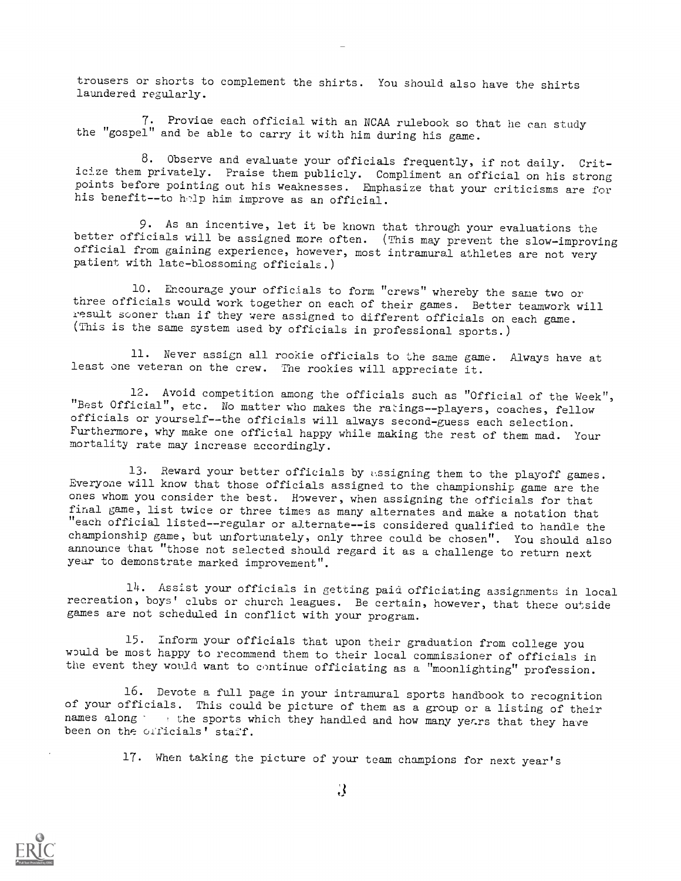trousers or shorts to complement the shirts. You should also have the shirts laundered regularly.

7. Proviae each official with an NCAA rulebook so that he can study the "gospel" and be able to carry it with him during his game.

8. Observe and evaluate your officials frequently, if not daily. Criticize them privately. Praise them publicly. Compliment an official on his strong points before pointing out his weaknesses. Emphasize that your criticisms are for his benefit--to help him improve as an official.

9. As an incentive, let it be known that through your evaluations the better officials will be assigned more often. (This may prevent the slow-improving official from gaining experience, however, most intramural athletes are not very patient with late-blossoming officials.)

10. Encourage your officials to form "crews" whereby the same two or three officials would work together on each of their games. Better teamwork will result sooner than if they were assigned to different officials on each game. (This is the same system used by officials in professional sports.)

11. Never assign all rookie officials to the same game. Always have at least one veteran on the crew. The rookies will appreciate it.

12. Avoid competition among the officials such as "Official of the Week", "Best Official", etc. No matter who makes the ratings--players, coaches, fellow officials or yourself--the officials will always second-guess each selection. Furthermore, why make one official happy while making the rest of them mad. Your mortality rate may increase accordingly.

13. Reward your better officials by assigning them to the playoff games. Everyone will know that those officials assigned to the championship game are the ones whom you consider the best. However, when assigning the officials for that final game, list twice or three times as many alternates and make a notation that "each official listed--regular or alternate--is considered qualified to handle the championship game, but unfortunately, only three could be chosen". You should also announce that "those not selected should regard it as a challenge to return next year to demonstrate marked improvement".

14. Assist your officials in getting paid officiating assignments in local recreation, boys' clubs or church leagues. Be certain, however, that these outside games are not scheduled in conflict with your program.

15. Inform your officials that upon their graduation from college you would be most happy to recommend them to their local commissioner of officials in the event they would want to continue officiating as a "moonlighting" profession.

16. Devote a full page in your intramural sports handbook to recognition of your officials. This could be picture of them as a group or a listing of their names along  $\cdot$  , the sports which they handled and how many yerrs that they have been on the officials' staff.

17. When taking the picture of your team champions for next year's